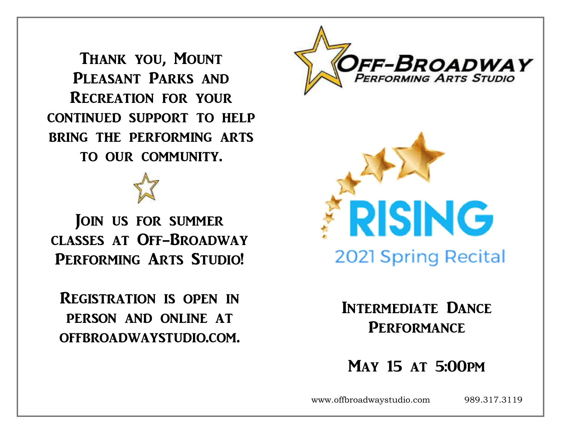Thank you, Mount PLEASANT PARKS AND Recreation for your continued support to help bring the performing arts to our community.

JOIN US FOR SUMMER classes at Off-Broadway PERFORMING ARTS STUDIO!

Registration is open in person and online at offbroadwaystudio.com.





Intermediate Dance **PERFORMANCE** 

May 15 at 5:00pm

www.offbroadwaystudio.com 989.317.3119